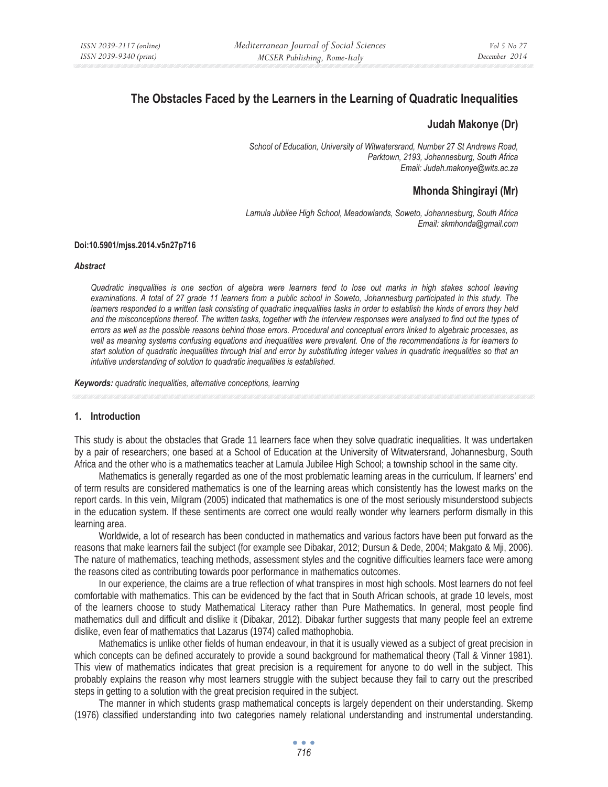# **The Obstacles Faced by the Learners in the Learning of Quadratic Inequalities**

### **Judah Makonye (Dr)**

*School of Education, University of Witwatersrand, Number 27 St Andrews Road, Parktown, 2193, Johannesburg, South Africa Email: Judah.makonye@wits.ac.za* 

# **Mhonda Shingirayi (Mr)**

*Lamula Jubilee High School, Meadowlands, Soweto, Johannesburg, South Africa Email: skmhonda@gmail.com* 

#### **Doi:10.5901/mjss.2014.v5n27p716**

#### *Abstract*

*Quadratic inequalities is one section of algebra were learners tend to lose out marks in high stakes school leaving examinations. A total of 27 grade 11 learners from a public school in Soweto, Johannesburg participated in this study. The learners responded to a written task consisting of quadratic inequalities tasks in order to establish the kinds of errors they held and the misconceptions thereof. The written tasks, together with the interview responses were analysed to find out the types of errors as well as the possible reasons behind those errors. Procedural and conceptual errors linked to algebraic processes, as well as meaning systems confusing equations and inequalities were prevalent. One of the recommendations is for learners to start solution of quadratic inequalities through trial and error by substituting integer values in quadratic inequalities so that an intuitive understanding of solution to quadratic inequalities is established.* 

*Keywords: quadratic inequalities, alternative conceptions, learning*

### **1. Introduction**

This study is about the obstacles that Grade 11 learners face when they solve quadratic inequalities. It was undertaken by a pair of researchers; one based at a School of Education at the University of Witwatersrand, Johannesburg, South Africa and the other who is a mathematics teacher at Lamula Jubilee High School; a township school in the same city.

Mathematics is generally regarded as one of the most problematic learning areas in the curriculum. If learners' end of term results are considered mathematics is one of the learning areas which consistently has the lowest marks on the report cards. In this vein, Milgram (2005) indicated that mathematics is one of the most seriously misunderstood subjects in the education system. If these sentiments are correct one would really wonder why learners perform dismally in this learning area.

Worldwide, a lot of research has been conducted in mathematics and various factors have been put forward as the reasons that make learners fail the subject (for example see Dibakar, 2012; Dursun & Dede, 2004; Makgato & Mji, 2006). The nature of mathematics, teaching methods, assessment styles and the cognitive difficulties learners face were among the reasons cited as contributing towards poor performance in mathematics outcomes.

In our experience, the claims are a true reflection of what transpires in most high schools. Most learners do not feel comfortable with mathematics. This can be evidenced by the fact that in South African schools, at grade 10 levels, most of the learners choose to study Mathematical Literacy rather than Pure Mathematics. In general, most people find mathematics dull and difficult and dislike it (Dibakar, 2012). Dibakar further suggests that many people feel an extreme dislike, even fear of mathematics that Lazarus (1974) called mathophobia.

Mathematics is unlike other fields of human endeavour, in that it is usually viewed as a subject of great precision in which concepts can be defined accurately to provide a sound background for mathematical theory (Tall & Vinner 1981). This view of mathematics indicates that great precision is a requirement for anyone to do well in the subject. This probably explains the reason why most learners struggle with the subject because they fail to carry out the prescribed steps in getting to a solution with the great precision required in the subject.

The manner in which students grasp mathematical concepts is largely dependent on their understanding. Skemp (1976) classified understanding into two categories namely relational understanding and instrumental understanding.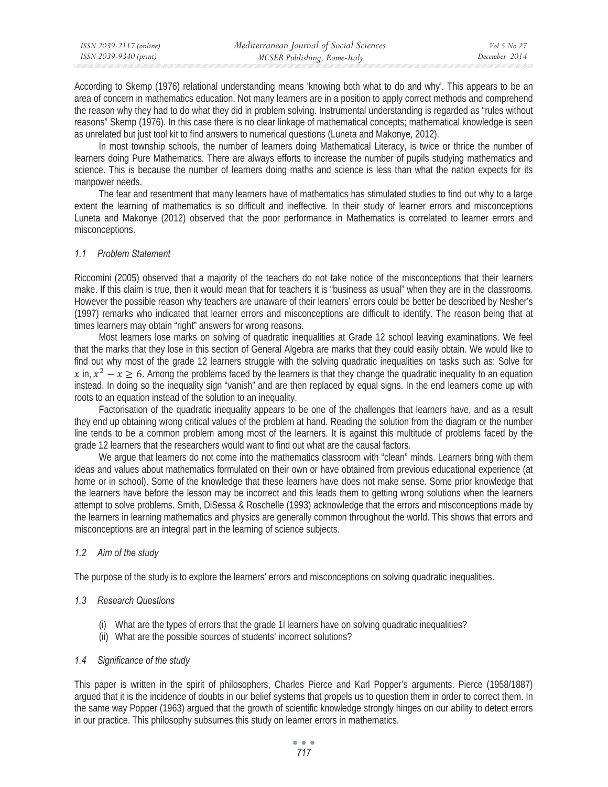According to Skemp (1976) relational understanding means 'knowing both what to do and why'. This appears to be an area of concern in mathematics education. Not many learners are in a position to apply correct methods and comprehend the reason why they had to do what they did in problem solving. Instrumental understanding is regarded as "rules without reasons" Skemp (1976). In this case there is no clear linkage of mathematical concepts; mathematical knowledge is seen as unrelated but just tool kit to find answers to numerical questions (Luneta and Makonye, 2012).

In most township schools, the number of learners doing Mathematical Literacy, is twice or thrice the number of learners doing Pure Mathematics. There are always efforts to increase the number of pupils studying mathematics and science. This is because the number of learners doing maths and science is less than what the nation expects for its manpower needs.

The fear and resentment that many learners have of mathematics has stimulated studies to find out why to a large extent the learning of mathematics is so difficult and ineffective. In their study of learner errors and misconceptions Luneta and Makonye (2012) observed that the poor performance in Mathematics is correlated to learner errors and misconceptions.

### *1.1 Problem Statement*

Riccomini (2005) observed that a majority of the teachers do not take notice of the misconceptions that their learners make. If this claim is true, then it would mean that for teachers it is "business as usual" when they are in the classrooms. However the possible reason why teachers are unaware of their learners' errors could be better be described by Nesher's (1997) remarks who indicated that learner errors and misconceptions are difficult to identify. The reason being that at times learners may obtain "right" answers for wrong reasons.

Most learners lose marks on solving of quadratic inequalities at Grade 12 school leaving examinations. We feel that the marks that they lose in this section of General Algebra are marks that they could easily obtain. We would like to find out why most of the grade 12 learners struggle with the solving quadratic inequalities on tasks such as: Solve for  $x$  in,  $x^2 - x \ge 6$ . Among the problems faced by the learners is that they change the quadratic inequality to an equation instead. In doing so the inequality sign "vanish" and are then replaced by equal signs. In the end learners come up with roots to an equation instead of the solution to an inequality.

Factorisation of the quadratic inequality appears to be one of the challenges that learners have, and as a result they end up obtaining wrong critical values of the problem at hand. Reading the solution from the diagram or the number line tends to be a common problem among most of the learners. It is against this multitude of problems faced by the grade 12 learners that the researchers would want to find out what are the causal factors.

We argue that learners do not come into the mathematics classroom with "clean" minds. Learners bring with them ideas and values about mathematics formulated on their own or have obtained from previous educational experience (at home or in school). Some of the knowledge that these learners have does not make sense. Some prior knowledge that the learners have before the lesson may be incorrect and this leads them to getting wrong solutions when the learners attempt to solve problems. Smith, DiSessa & Roschelle (1993) acknowledge that the errors and misconceptions made by the learners in learning mathematics and physics are generally common throughout the world. This shows that errors and misconceptions are an integral part in the learning of science subjects.

## *1.2 Aim of the study*

The purpose of the study is to explore the learners' errors and misconceptions on solving quadratic inequalities.

## *1.3 Research Questions*

- (i) What are the types of errors that the grade 1l learners have on solving quadratic inequalities?
- (ii) What are the possible sources of students' incorrect solutions?

### *1.4 Significance of the study*

This paper is written in the spirit of philosophers, Charles Pierce and Karl Popper's arguments. Pierce (1958/1887) argued that it is the incidence of doubts in our belief systems that propels us to question them in order to correct them. In the same way Popper (1963) argued that the growth of scientific knowledge strongly hinges on our ability to detect errors in our practice. This philosophy subsumes this study on learner errors in mathematics.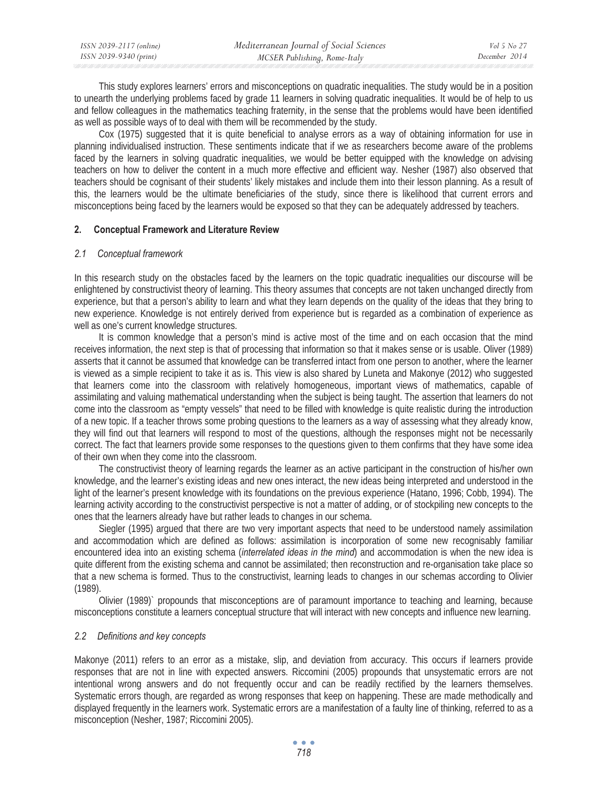| ISSN 2039-2117 (online) | Mediterranean Journal of Social Sciences | Vol 5 No 27   |
|-------------------------|------------------------------------------|---------------|
| ISSN 2039-9340 (print)  | MCSER Publishing, Rome-Italy             | December 2014 |

This study explores learners' errors and misconceptions on quadratic inequalities. The study would be in a position to unearth the underlying problems faced by grade 11 learners in solving quadratic inequalities. It would be of help to us and fellow colleagues in the mathematics teaching fraternity, in the sense that the problems would have been identified as well as possible ways of to deal with them will be recommended by the study.

Cox (1975) suggested that it is quite beneficial to analyse errors as a way of obtaining information for use in planning individualised instruction. These sentiments indicate that if we as researchers become aware of the problems faced by the learners in solving quadratic inequalities, we would be better equipped with the knowledge on advising teachers on how to deliver the content in a much more effective and efficient way. Nesher (1987) also observed that teachers should be cognisant of their students' likely mistakes and include them into their lesson planning. As a result of this, the learners would be the ultimate beneficiaries of the study, since there is likelihood that current errors and misconceptions being faced by the learners would be exposed so that they can be adequately addressed by teachers.

### **2. Conceptual Framework and Literature Review**

#### *2.1 Conceptual framework*

In this research study on the obstacles faced by the learners on the topic quadratic inequalities our discourse will be enlightened by constructivist theory of learning. This theory assumes that concepts are not taken unchanged directly from experience, but that a person's ability to learn and what they learn depends on the quality of the ideas that they bring to new experience. Knowledge is not entirely derived from experience but is regarded as a combination of experience as well as one's current knowledge structures.

It is common knowledge that a person's mind is active most of the time and on each occasion that the mind receives information, the next step is that of processing that information so that it makes sense or is usable. Oliver (1989) asserts that it cannot be assumed that knowledge can be transferred intact from one person to another, where the learner is viewed as a simple recipient to take it as is. This view is also shared by Luneta and Makonye (2012) who suggested that learners come into the classroom with relatively homogeneous, important views of mathematics, capable of assimilating and valuing mathematical understanding when the subject is being taught. The assertion that learners do not come into the classroom as "empty vessels" that need to be filled with knowledge is quite realistic during the introduction of a new topic. If a teacher throws some probing questions to the learners as a way of assessing what they already know, they will find out that learners will respond to most of the questions, although the responses might not be necessarily correct. The fact that learners provide some responses to the questions given to them confirms that they have some idea of their own when they come into the classroom.

The constructivist theory of learning regards the learner as an active participant in the construction of his/her own knowledge, and the learner's existing ideas and new ones interact, the new ideas being interpreted and understood in the light of the learner's present knowledge with its foundations on the previous experience (Hatano, 1996; Cobb, 1994). The learning activity according to the constructivist perspective is not a matter of adding, or of stockpiling new concepts to the ones that the learners already have but rather leads to changes in our schema.

Siegler (1995) argued that there are two very important aspects that need to be understood namely assimilation and accommodation which are defined as follows: assimilation is incorporation of some new recognisably familiar encountered idea into an existing schema (*interrelated ideas in the mind*) and accommodation is when the new idea is quite different from the existing schema and cannot be assimilated; then reconstruction and re-organisation take place so that a new schema is formed. Thus to the constructivist, learning leads to changes in our schemas according to Olivier (1989).

Olivier (1989)` propounds that misconceptions are of paramount importance to teaching and learning, because misconceptions constitute a learners conceptual structure that will interact with new concepts and influence new learning.

### *2.2 Definitions and key concepts*

Makonye (2011) refers to an error as a mistake, slip, and deviation from accuracy. This occurs if learners provide responses that are not in line with expected answers. Riccomini (2005) propounds that unsystematic errors are not intentional wrong answers and do not frequently occur and can be readily rectified by the learners themselves. Systematic errors though, are regarded as wrong responses that keep on happening. These are made methodically and displayed frequently in the learners work. Systematic errors are a manifestation of a faulty line of thinking, referred to as a misconception (Nesher, 1987; Riccomini 2005).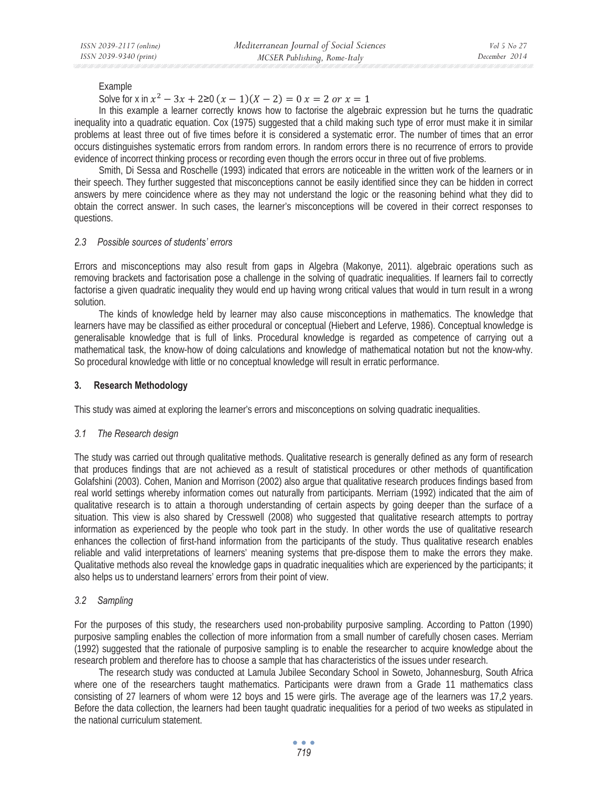Example

Solve for x in  $x^2 - 3x + 2 \ge 0$   $(x - 1)(X - 2) = 0$   $x = 2$  or  $x = 1$ 

In this example a learner correctly knows how to factorise the algebraic expression but he turns the quadratic inequality into a quadratic equation. Cox (1975) suggested that a child making such type of error must make it in similar problems at least three out of five times before it is considered a systematic error. The number of times that an error occurs distinguishes systematic errors from random errors. In random errors there is no recurrence of errors to provide evidence of incorrect thinking process or recording even though the errors occur in three out of five problems.

Smith, Di Sessa and Roschelle (1993) indicated that errors are noticeable in the written work of the learners or in their speech. They further suggested that misconceptions cannot be easily identified since they can be hidden in correct answers by mere coincidence where as they may not understand the logic or the reasoning behind what they did to obtain the correct answer. In such cases, the learner's misconceptions will be covered in their correct responses to questions.

### *2.3 Possible sources of students' errors*

Errors and misconceptions may also result from gaps in Algebra (Makonye, 2011). algebraic operations such as removing brackets and factorisation pose a challenge in the solving of quadratic inequalities. If learners fail to correctly factorise a given quadratic inequality they would end up having wrong critical values that would in turn result in a wrong solution.

The kinds of knowledge held by learner may also cause misconceptions in mathematics. The knowledge that learners have may be classified as either procedural or conceptual (Hiebert and Leferve, 1986). Conceptual knowledge is generalisable knowledge that is full of links. Procedural knowledge is regarded as competence of carrying out a mathematical task, the know-how of doing calculations and knowledge of mathematical notation but not the know-why. So procedural knowledge with little or no conceptual knowledge will result in erratic performance.

### **3. Research Methodology**

This study was aimed at exploring the learner's errors and misconceptions on solving quadratic inequalities.

### *3.1 The Research design*

The study was carried out through qualitative methods. Qualitative research is generally defined as any form of research that produces findings that are not achieved as a result of statistical procedures or other methods of quantification Golafshini (2003). Cohen, Manion and Morrison (2002) also argue that qualitative research produces findings based from real world settings whereby information comes out naturally from participants. Merriam (1992) indicated that the aim of qualitative research is to attain a thorough understanding of certain aspects by going deeper than the surface of a situation. This view is also shared by Cresswell (2008) who suggested that qualitative research attempts to portray information as experienced by the people who took part in the study. In other words the use of qualitative research enhances the collection of first-hand information from the participants of the study. Thus qualitative research enables reliable and valid interpretations of learners' meaning systems that pre-dispose them to make the errors they make. Qualitative methods also reveal the knowledge gaps in quadratic inequalities which are experienced by the participants; it also helps us to understand learners' errors from their point of view.

## *3.2 Sampling*

For the purposes of this study, the researchers used non-probability purposive sampling. According to Patton (1990) purposive sampling enables the collection of more information from a small number of carefully chosen cases. Merriam (1992) suggested that the rationale of purposive sampling is to enable the researcher to acquire knowledge about the research problem and therefore has to choose a sample that has characteristics of the issues under research.

The research study was conducted at Lamula Jubilee Secondary School in Soweto, Johannesburg, South Africa where one of the researchers taught mathematics. Participants were drawn from a Grade 11 mathematics class consisting of 27 learners of whom were 12 boys and 15 were girls. The average age of the learners was 17,2 years. Before the data collection, the learners had been taught quadratic inequalities for a period of two weeks as stipulated in the national curriculum statement.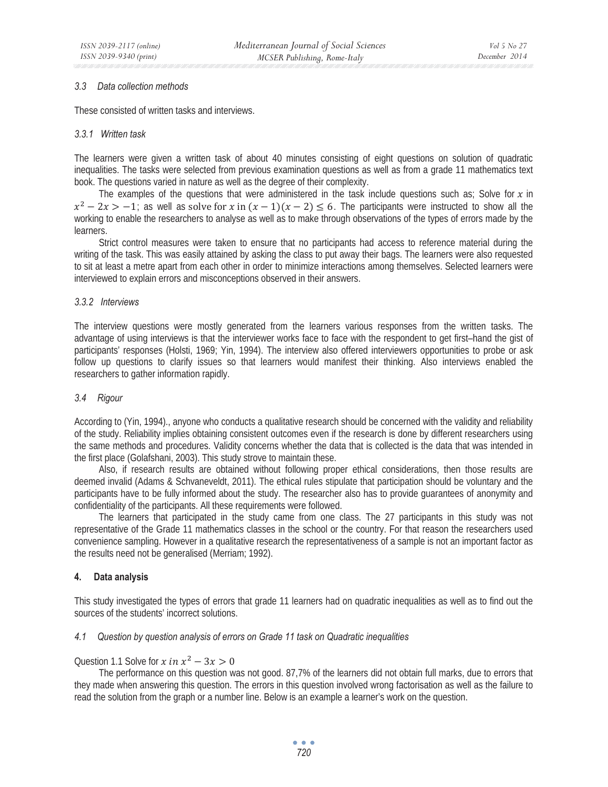#### *3.3 Data collection methods*

These consisted of written tasks and interviews.

#### *3.3.1 Written task*

The learners were given a written task of about 40 minutes consisting of eight questions on solution of quadratic inequalities. The tasks were selected from previous examination questions as well as from a grade 11 mathematics text book. The questions varied in nature as well as the degree of their complexity.

The examples of the questions that were administered in the task include questions such as; Solve for  $x$  in  $x^2 - 2x > -1$ ; as well as solve for x in  $(x - 1)(x - 2) \le 6$ . The participants were instructed to show all the working to enable the researchers to analyse as well as to make through observations of the types of errors made by the learners.

Strict control measures were taken to ensure that no participants had access to reference material during the writing of the task. This was easily attained by asking the class to put away their bags. The learners were also requested to sit at least a metre apart from each other in order to minimize interactions among themselves. Selected learners were interviewed to explain errors and misconceptions observed in their answers.

#### *3.3.2 Interviews*

The interview questions were mostly generated from the learners various responses from the written tasks. The advantage of using interviews is that the interviewer works face to face with the respondent to get first–hand the gist of participants' responses (Holsti, 1969; Yin, 1994). The interview also offered interviewers opportunities to probe or ask follow up questions to clarify issues so that learners would manifest their thinking. Also interviews enabled the researchers to gather information rapidly.

#### *3.4 Rigour*

According to (Yin, 1994)., anyone who conducts a qualitative research should be concerned with the validity and reliability of the study. Reliability implies obtaining consistent outcomes even if the research is done by different researchers using the same methods and procedures. Validity concerns whether the data that is collected is the data that was intended in the first place (Golafshani, 2003). This study strove to maintain these.

Also, if research results are obtained without following proper ethical considerations, then those results are deemed invalid (Adams & Schvaneveldt, 2011). The ethical rules stipulate that participation should be voluntary and the participants have to be fully informed about the study. The researcher also has to provide guarantees of anonymity and confidentiality of the participants. All these requirements were followed.

The learners that participated in the study came from one class. The 27 participants in this study was not representative of the Grade 11 mathematics classes in the school or the country. For that reason the researchers used convenience sampling. However in a qualitative research the representativeness of a sample is not an important factor as the results need not be generalised (Merriam; 1992).

### **4. Data analysis**

This study investigated the types of errors that grade 11 learners had on quadratic inequalities as well as to find out the sources of the students' incorrect solutions.

### *4.1 Question by question analysis of errors on Grade 11 task on Quadratic inequalities*

Question 1.1 Solve for  $x$  in  $x^2 - 3x > 0$ 

The performance on this question was not good. 87,7% of the learners did not obtain full marks, due to errors that they made when answering this question. The errors in this question involved wrong factorisation as well as the failure to read the solution from the graph or a number line. Below is an example a learner's work on the question.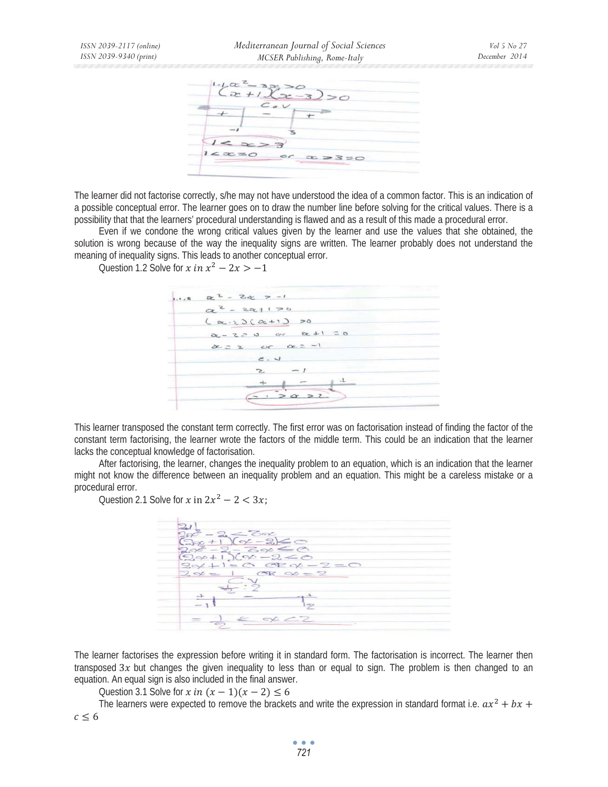|       | $2+1$ | $-3200$ |             |  |
|-------|-------|---------|-------------|--|
|       |       |         |             |  |
|       |       |         |             |  |
|       |       |         |             |  |
| 12220 |       | or      | $x > 3 = 0$ |  |

The learner did not factorise correctly, s/he may not have understood the idea of a common factor. This is an indication of a possible conceptual error. The learner goes on to draw the number line before solving for the critical values. There is a possibility that that the learners' procedural understanding is flawed and as a result of this made a procedural error.

Even if we condone the wrong critical values given by the learner and use the values that she obtained, the solution is wrong because of the way the inequality signs are written. The learner probably does not understand the meaning of inequality signs. This leads to another conceptual error.

Question 1.2 Solve for  $x$  in  $x^2 - 2x > -1$ 



This learner transposed the constant term correctly. The first error was on factorisation instead of finding the factor of the constant term factorising, the learner wrote the factors of the middle term. This could be an indication that the learner lacks the conceptual knowledge of factorisation.

After factorising, the learner, changes the inequality problem to an equation, which is an indication that the learner might not know the difference between an inequality problem and an equation. This might be a careless mistake or a procedural error.

Question 2.1 Solve for  $x$  in  $2x^2 - 2 < 3x$ .



The learner factorises the expression before writing it in standard form. The factorisation is incorrect. The learner then transposed  $3x$  but changes the given inequality to less than or equal to sign. The problem is then changed to an equation. An equal sign is also included in the final answer.

Question 3.1 Solve for  $x$  in  $(x - 1)(x - 2) \le 6$ 

The learners were expected to remove the brackets and write the expression in standard format i.e.  $ax^2 + bx +$  $c \leq 6$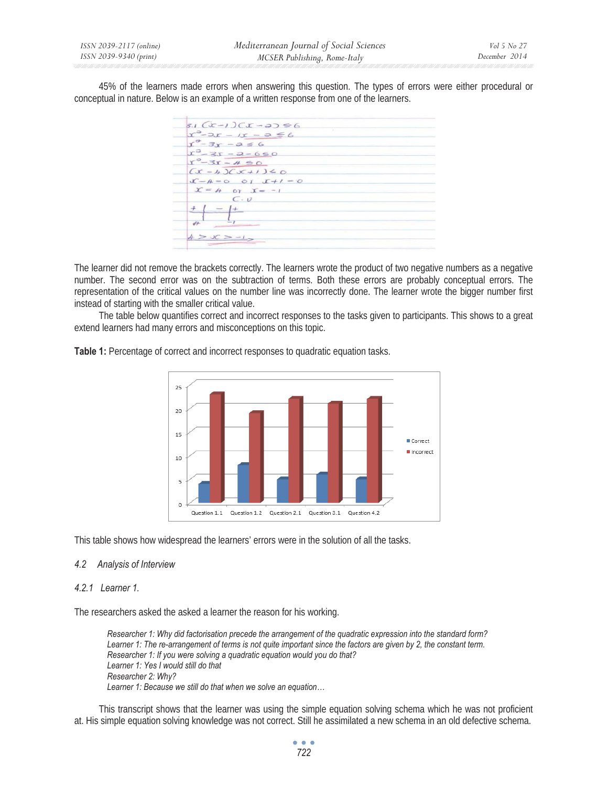45% of the learners made errors when answering this question. The types of errors were either procedural or conceptual in nature. Below is an example of a written response from one of the learners.

 $5.1$   $(x-1)$  $(x-3) \le 6$  $x^3 - 2x - 1x - 9 \le 6$  $x^3 - 3x - 2 \le 6$  $x^3 - 3x - 2 - 660$ <br> $x^9 - 3x - 460$  $(x - 4)$  $(x + 1) \leq 0$  $\mathcal{L} - A = 0 \quad \text{or} \quad \mathcal{L} + I = 0$  $x = 4$  or  $x = -1$  $C \cdot V$  $($  +  $4 > 0C > -1$ 

The learner did not remove the brackets correctly. The learners wrote the product of two negative numbers as a negative number. The second error was on the subtraction of terms. Both these errors are probably conceptual errors. The representation of the critical values on the number line was incorrectly done. The learner wrote the bigger number first instead of starting with the smaller critical value.

The table below quantifies correct and incorrect responses to the tasks given to participants. This shows to a great extend learners had many errors and misconceptions on this topic.



**Table 1:** Percentage of correct and incorrect responses to quadratic equation tasks.

This table shows how widespread the learners' errors were in the solution of all the tasks.

### *4.2 Analysis of Interview*

#### *4.2.1 Learner 1.*

The researchers asked the asked a learner the reason for his working.

*Researcher 1: Why did factorisation precede the arrangement of the quadratic expression into the standard form? Learner 1: The re-arrangement of terms is not quite important since the factors are given by 2, the constant term. Researcher 1: If you were solving a quadratic equation would you do that? Learner 1: Yes I would still do that Researcher 2: Why? Learner 1: Because we still do that when we solve an equation…* 

This transcript shows that the learner was using the simple equation solving schema which he was not proficient at. His simple equation solving knowledge was not correct. Still he assimilated a new schema in an old defective schema.

> $\bullet$   $\bullet$   $\bullet$ *722*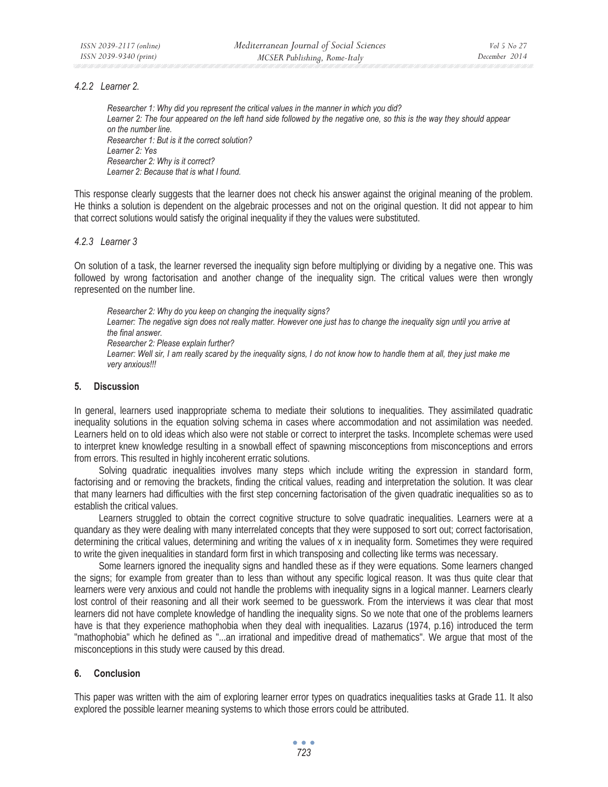#### *4.2.2 Learner 2.*

*Researcher 1: Why did you represent the critical values in the manner in which you did? Learner 2: The four appeared on the left hand side followed by the negative one, so this is the way they should appear on the number line. Researcher 1: But is it the correct solution? Learner 2: Yes Researcher 2: Why is it correct? Learner 2: Because that is what I found.* 

This response clearly suggests that the learner does not check his answer against the original meaning of the problem. He thinks a solution is dependent on the algebraic processes and not on the original question. It did not appear to him that correct solutions would satisfy the original inequality if they the values were substituted.

#### *4.2.3 Learner 3*

On solution of a task, the learner reversed the inequality sign before multiplying or dividing by a negative one. This was followed by wrong factorisation and another change of the inequality sign. The critical values were then wrongly represented on the number line.

*Researcher 2: Why do you keep on changing the inequality signs?*  Learner: The negative sign does not really matter. However one just has to change the inequality sign until you arrive at *the final answer. Researcher 2: Please explain further?*  Learner: Well sir, I am really scared by the inequality signs, I do not know how to handle them at all, they just make me *very anxious!!!* 

#### **5. Discussion**

In general, learners used inappropriate schema to mediate their solutions to inequalities. They assimilated quadratic inequality solutions in the equation solving schema in cases where accommodation and not assimilation was needed. Learners held on to old ideas which also were not stable or correct to interpret the tasks. Incomplete schemas were used to interpret knew knowledge resulting in a snowball effect of spawning misconceptions from misconceptions and errors from errors. This resulted in highly incoherent erratic solutions.

Solving quadratic inequalities involves many steps which include writing the expression in standard form, factorising and or removing the brackets, finding the critical values, reading and interpretation the solution. It was clear that many learners had difficulties with the first step concerning factorisation of the given quadratic inequalities so as to establish the critical values.

Learners struggled to obtain the correct cognitive structure to solve quadratic inequalities. Learners were at a quandary as they were dealing with many interrelated concepts that they were supposed to sort out; correct factorisation, determining the critical values, determining and writing the values of x in inequality form. Sometimes they were required to write the given inequalities in standard form first in which transposing and collecting like terms was necessary.

Some learners ignored the inequality signs and handled these as if they were equations. Some learners changed the signs; for example from greater than to less than without any specific logical reason. It was thus quite clear that learners were very anxious and could not handle the problems with inequality signs in a logical manner. Learners clearly lost control of their reasoning and all their work seemed to be guesswork. From the interviews it was clear that most learners did not have complete knowledge of handling the inequality signs. So we note that one of the problems learners have is that they experience mathophobia when they deal with inequalities. Lazarus (1974, p.16) introduced the term "mathophobia" which he defined as "...an irrational and impeditive dread of mathematics". We argue that most of the misconceptions in this study were caused by this dread.

### **6. Conclusion**

This paper was written with the aim of exploring learner error types on quadratics inequalities tasks at Grade 11. It also explored the possible learner meaning systems to which those errors could be attributed.

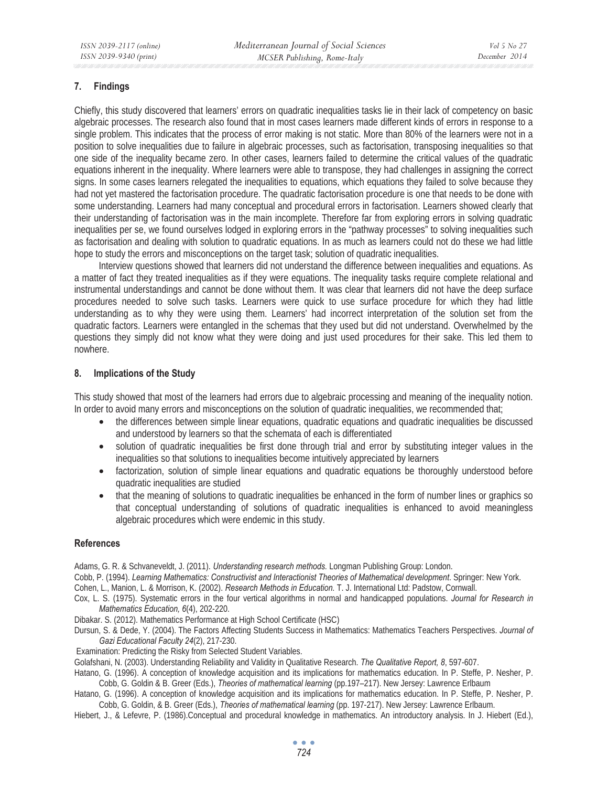### **7. Findings**

Chiefly, this study discovered that learners' errors on quadratic inequalities tasks lie in their lack of competency on basic algebraic processes. The research also found that in most cases learners made different kinds of errors in response to a single problem. This indicates that the process of error making is not static. More than 80% of the learners were not in a position to solve inequalities due to failure in algebraic processes, such as factorisation, transposing inequalities so that one side of the inequality became zero. In other cases, learners failed to determine the critical values of the quadratic equations inherent in the inequality. Where learners were able to transpose, they had challenges in assigning the correct signs. In some cases learners relegated the inequalities to equations, which equations they failed to solve because they had not yet mastered the factorisation procedure. The quadratic factorisation procedure is one that needs to be done with some understanding. Learners had many conceptual and procedural errors in factorisation. Learners showed clearly that their understanding of factorisation was in the main incomplete. Therefore far from exploring errors in solving quadratic inequalities per se, we found ourselves lodged in exploring errors in the "pathway processes" to solving inequalities such as factorisation and dealing with solution to quadratic equations. In as much as learners could not do these we had little hope to study the errors and misconceptions on the target task; solution of quadratic inequalities.

Interview questions showed that learners did not understand the difference between inequalities and equations. As a matter of fact they treated inequalities as if they were equations. The inequality tasks require complete relational and instrumental understandings and cannot be done without them. It was clear that learners did not have the deep surface procedures needed to solve such tasks. Learners were quick to use surface procedure for which they had little understanding as to why they were using them. Learners' had incorrect interpretation of the solution set from the quadratic factors. Learners were entangled in the schemas that they used but did not understand. Overwhelmed by the questions they simply did not know what they were doing and just used procedures for their sake. This led them to nowhere.

### **8. Implications of the Study**

This study showed that most of the learners had errors due to algebraic processing and meaning of the inequality notion. In order to avoid many errors and misconceptions on the solution of quadratic inequalities, we recommended that;

- the differences between simple linear equations, quadratic equations and quadratic inequalities be discussed and understood by learners so that the schemata of each is differentiated
- solution of quadratic inequalities be first done through trial and error by substituting integer values in the inequalities so that solutions to inequalities become intuitively appreciated by learners
- factorization, solution of simple linear equations and quadratic equations be thoroughly understood before quadratic inequalities are studied
- that the meaning of solutions to quadratic inequalities be enhanced in the form of number lines or graphics so that conceptual understanding of solutions of quadratic inequalities is enhanced to avoid meaningless algebraic procedures which were endemic in this study.

### **References**

Adams, G. R. & Schvaneveldt, J. (2011). *Understanding research methods.* Longman Publishing Group: London.

Cobb, P. (1994). *Learning Mathematics: Constructivist and Interactionist Theories of Mathematical development*. Springer: New York.

- Cohen, L., Manion, L. & Morrison, K. (2002). *Research Methods in Education.* T. J. International Ltd: Padstow, Cornwall.
- Cox, L. S. (1975). Systematic errors in the four vertical algorithms in normal and handicapped populations. *Journal for Research in Mathematics Education, 6*(4), 202-220.

Dibakar. S. (2012). Mathematics Performance at High School Certificate (HSC)

Dursun, S. & Dede, Y. (2004). The Factors Affecting Students Success in Mathematics: Mathematics Teachers Perspectives. *Journal of Gazi Educational Faculty 24*(2), 217-230.

Examination: Predicting the Risky from Selected Student Variables.

Golafshani, N. (2003). Understanding Reliability and Validity in Qualitative Research. *The Qualitative Report, 8*, 597-607.

Hatano, G. (1996). A conception of knowledge acquisition and its implications for mathematics education. In P. Steffe, P. Nesher, P. Cobb, G. Goldin & B. Greer (Eds.), *Theories of mathematical learning* (pp.197–217). New Jersey: Lawrence Erlbaum

Hatano, G. (1996). A conception of knowledge acquisition and its implications for mathematics education. In P. Steffe, P. Nesher, P. Cobb, G. Goldin, & B. Greer (Eds.), *Theories of mathematical learning* (pp. 197-217). New Jersey: Lawrence Erlbaum.

Hiebert, J., & Lefevre, P. (1986).Conceptual and procedural knowledge in mathematics. An introductory analysis. In J. Hiebert (Ed.),